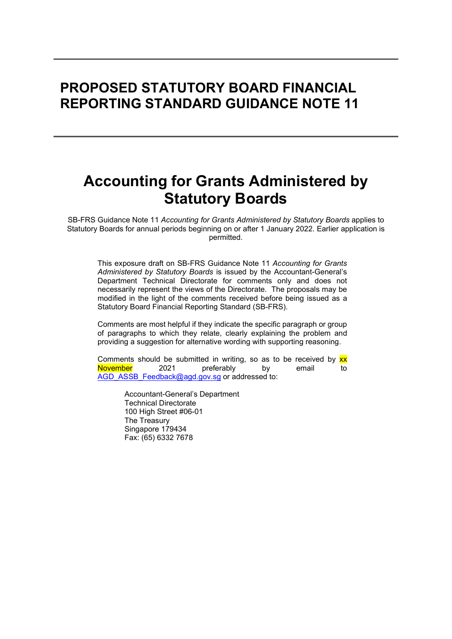# PROPOSED STATUTORY BOARD FINANCIAL REPORTING STANDARD GUIDANCE NOTE 11

# Accounting for Grants Administered by Statutory Boards

SB-FRS Guidance Note 11 Accounting for Grants Administered by Statutory Boards applies to Statutory Boards for annual periods beginning on or after 1 January 2022. Earlier application is permitted.

This exposure draft on SB-FRS Guidance Note 11 Accounting for Grants Administered by Statutory Boards is issued by the Accountant-General's Department Technical Directorate for comments only and does not necessarily represent the views of the Directorate. The proposals may be modified in the light of the comments received before being issued as a Statutory Board Financial Reporting Standard (SB-FRS).

Comments are most helpful if they indicate the specific paragraph or group of paragraphs to which they relate, clearly explaining the problem and providing a suggestion for alternative wording with supporting reasoning.

Comments should be submitted in writing, so as to be received by  $\mathbf{xx}$ November 2021 preferably by email to AGD\_ASSB\_Feedback@agd.gov.sg or addressed to:

> Accountant-General's Department Technical Directorate 100 High Street #06-01 The Treasury Singapore 179434 Fax: (65) 6332 7678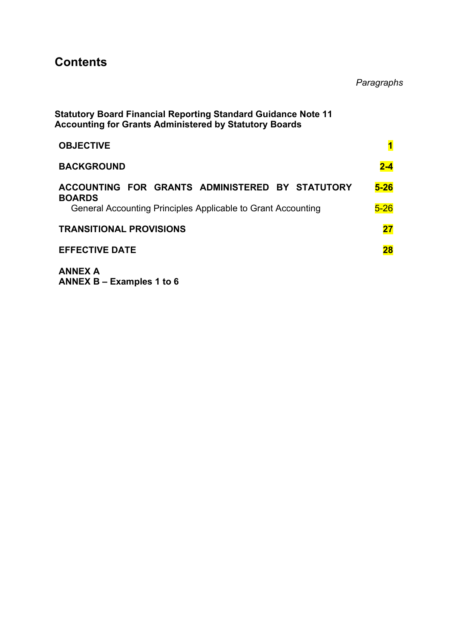# **Contents**

Paragraphs

| <b>Statutory Board Financial Reporting Standard Guidance Note 11</b><br><b>Accounting for Grants Administered by Statutory Boards</b> |                         |
|---------------------------------------------------------------------------------------------------------------------------------------|-------------------------|
| <b>OBJECTIVE</b>                                                                                                                      | $\overline{\mathbf{1}}$ |
| <b>BACKGROUND</b>                                                                                                                     | $2 - 4$                 |
| ACCOUNTING FOR GRANTS ADMINISTERED BY STATUTORY<br><b>BOARDS</b>                                                                      | $5-26$                  |
| General Accounting Principles Applicable to Grant Accounting                                                                          | $5 - 26$                |
| <b>TRANSITIONAL PROVISIONS</b>                                                                                                        | 27                      |
| <b>EFFECTIVE DATE</b>                                                                                                                 | 28                      |
| <b>ANNEX A</b>                                                                                                                        |                         |

ANNEX B – Examples 1 to 6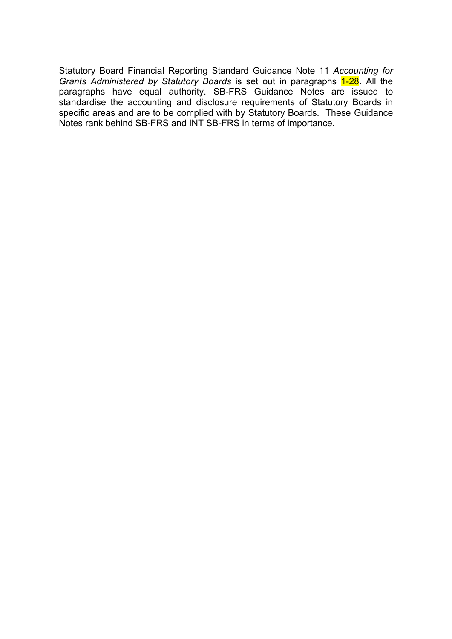Statutory Board Financial Reporting Standard Guidance Note 11 Accounting for Grants Administered by Statutory Boards is set out in paragraphs 1-28. All the paragraphs have equal authority. SB-FRS Guidance Notes are issued to standardise the accounting and disclosure requirements of Statutory Boards in specific areas and are to be complied with by Statutory Boards. These Guidance Notes rank behind SB-FRS and INT SB-FRS in terms of importance.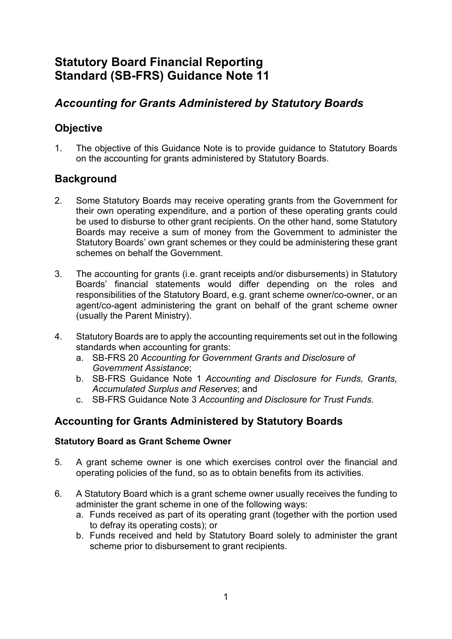## Statutory Board Financial Reporting Standard (SB-FRS) Guidance Note 11

### Accounting for Grants Administered by Statutory Boards

### **Objective**

1. The objective of this Guidance Note is to provide guidance to Statutory Boards on the accounting for grants administered by Statutory Boards.

### **Background**

- 2. Some Statutory Boards may receive operating grants from the Government for their own operating expenditure, and a portion of these operating grants could be used to disburse to other grant recipients. On the other hand, some Statutory Boards may receive a sum of money from the Government to administer the Statutory Boards' own grant schemes or they could be administering these grant schemes on behalf the Government.
- 3. The accounting for grants (i.e. grant receipts and/or disbursements) in Statutory Boards' financial statements would differ depending on the roles and responsibilities of the Statutory Board, e.g. grant scheme owner/co-owner, or an agent/co-agent administering the grant on behalf of the grant scheme owner (usually the Parent Ministry).
- 4. Statutory Boards are to apply the accounting requirements set out in the following standards when accounting for grants:
	- a. SB-FRS 20 Accounting for Government Grants and Disclosure of Government Assistance;
	- b. SB-FRS Guidance Note 1 Accounting and Disclosure for Funds, Grants, Accumulated Surplus and Reserves; and
	- c. SB-FRS Guidance Note 3 Accounting and Disclosure for Trust Funds.

### Accounting for Grants Administered by Statutory Boards

### Statutory Board as Grant Scheme Owner

- 5. A grant scheme owner is one which exercises control over the financial and operating policies of the fund, so as to obtain benefits from its activities.
- 6. A Statutory Board which is a grant scheme owner usually receives the funding to administer the grant scheme in one of the following ways:
	- a. Funds received as part of its operating grant (together with the portion used to defray its operating costs); or
	- b. Funds received and held by Statutory Board solely to administer the grant scheme prior to disbursement to grant recipients.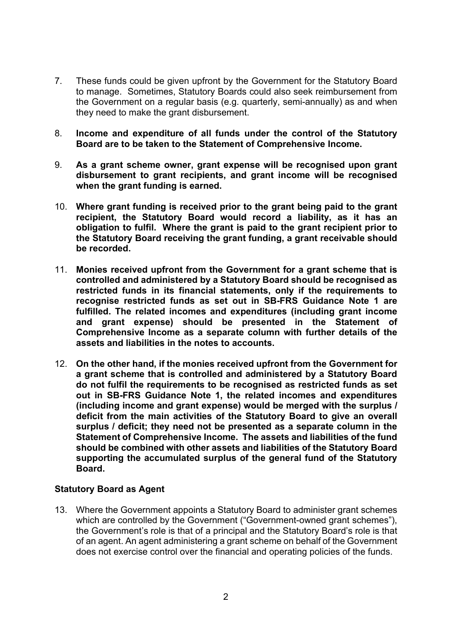- 7. These funds could be given upfront by the Government for the Statutory Board to manage. Sometimes, Statutory Boards could also seek reimbursement from the Government on a regular basis (e.g. quarterly, semi-annually) as and when they need to make the grant disbursement.
- 8. Income and expenditure of all funds under the control of the Statutory Board are to be taken to the Statement of Comprehensive Income.
- 9. As a grant scheme owner, grant expense will be recognised upon grant disbursement to grant recipients, and grant income will be recognised when the grant funding is earned.
- 10. Where grant funding is received prior to the grant being paid to the grant recipient, the Statutory Board would record a liability, as it has an obligation to fulfil. Where the grant is paid to the grant recipient prior to the Statutory Board receiving the grant funding, a grant receivable should be recorded.
- 11. Monies received upfront from the Government for a grant scheme that is controlled and administered by a Statutory Board should be recognised as restricted funds in its financial statements, only if the requirements to recognise restricted funds as set out in SB-FRS Guidance Note 1 are fulfilled. The related incomes and expenditures (including grant income and grant expense) should be presented in the Statement of Comprehensive Income as a separate column with further details of the assets and liabilities in the notes to accounts.
- 12. On the other hand, if the monies received upfront from the Government for a grant scheme that is controlled and administered by a Statutory Board do not fulfil the requirements to be recognised as restricted funds as set out in SB-FRS Guidance Note 1, the related incomes and expenditures (including income and grant expense) would be merged with the surplus / deficit from the main activities of the Statutory Board to give an overall surplus / deficit; they need not be presented as a separate column in the Statement of Comprehensive Income. The assets and liabilities of the fund should be combined with other assets and liabilities of the Statutory Board supporting the accumulated surplus of the general fund of the Statutory Board.

#### Statutory Board as Agent

13. Where the Government appoints a Statutory Board to administer grant schemes which are controlled by the Government ("Government-owned grant schemes"), the Government's role is that of a principal and the Statutory Board's role is that of an agent. An agent administering a grant scheme on behalf of the Government does not exercise control over the financial and operating policies of the funds.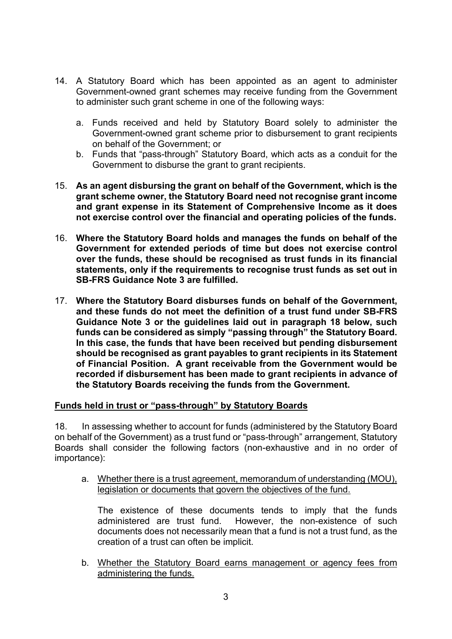- 14. A Statutory Board which has been appointed as an agent to administer Government-owned grant schemes may receive funding from the Government to administer such grant scheme in one of the following ways:
	- a. Funds received and held by Statutory Board solely to administer the Government-owned grant scheme prior to disbursement to grant recipients on behalf of the Government; or
	- b. Funds that "pass-through" Statutory Board, which acts as a conduit for the Government to disburse the grant to grant recipients.
- 15. As an agent disbursing the grant on behalf of the Government, which is the grant scheme owner, the Statutory Board need not recognise grant income and grant expense in its Statement of Comprehensive Income as it does not exercise control over the financial and operating policies of the funds.
- 16. Where the Statutory Board holds and manages the funds on behalf of the Government for extended periods of time but does not exercise control over the funds, these should be recognised as trust funds in its financial statements, only if the requirements to recognise trust funds as set out in SB-FRS Guidance Note 3 are fulfilled.
- 17. Where the Statutory Board disburses funds on behalf of the Government, and these funds do not meet the definition of a trust fund under SB-FRS Guidance Note 3 or the guidelines laid out in paragraph 18 below, such funds can be considered as simply "passing through" the Statutory Board. In this case, the funds that have been received but pending disbursement should be recognised as grant payables to grant recipients in its Statement of Financial Position. A grant receivable from the Government would be recorded if disbursement has been made to grant recipients in advance of the Statutory Boards receiving the funds from the Government.

#### Funds held in trust or "pass-through" by Statutory Boards

18. In assessing whether to account for funds (administered by the Statutory Board on behalf of the Government) as a trust fund or "pass-through" arrangement, Statutory Boards shall consider the following factors (non-exhaustive and in no order of importance):

a. Whether there is a trust agreement, memorandum of understanding (MOU), legislation or documents that govern the objectives of the fund.

The existence of these documents tends to imply that the funds administered are trust fund. However, the non-existence of such documents does not necessarily mean that a fund is not a trust fund, as the creation of a trust can often be implicit.

b. Whether the Statutory Board earns management or agency fees from administering the funds.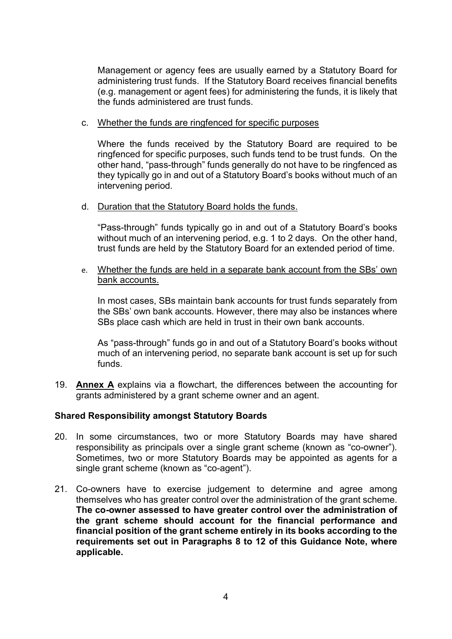Management or agency fees are usually earned by a Statutory Board for administering trust funds. If the Statutory Board receives financial benefits (e.g. management or agent fees) for administering the funds, it is likely that the funds administered are trust funds.

#### c. Whether the funds are ringfenced for specific purposes

Where the funds received by the Statutory Board are required to be ringfenced for specific purposes, such funds tend to be trust funds. On the other hand, "pass-through" funds generally do not have to be ringfenced as they typically go in and out of a Statutory Board's books without much of an intervening period.

#### d. Duration that the Statutory Board holds the funds.

"Pass-through" funds typically go in and out of a Statutory Board's books without much of an intervening period, e.g. 1 to 2 days. On the other hand, trust funds are held by the Statutory Board for an extended period of time.

e. Whether the funds are held in a separate bank account from the SBs' own bank accounts.

In most cases, SBs maintain bank accounts for trust funds separately from the SBs' own bank accounts. However, there may also be instances where SBs place cash which are held in trust in their own bank accounts.

As "pass-through" funds go in and out of a Statutory Board's books without much of an intervening period, no separate bank account is set up for such funds.

19. Annex A explains via a flowchart, the differences between the accounting for grants administered by a grant scheme owner and an agent.

#### Shared Responsibility amongst Statutory Boards

- 20. In some circumstances, two or more Statutory Boards may have shared responsibility as principals over a single grant scheme (known as "co-owner"). Sometimes, two or more Statutory Boards may be appointed as agents for a single grant scheme (known as "co-agent").
- 21. Co-owners have to exercise judgement to determine and agree among themselves who has greater control over the administration of the grant scheme. The co-owner assessed to have greater control over the administration of the grant scheme should account for the financial performance and financial position of the grant scheme entirely in its books according to the requirements set out in Paragraphs 8 to 12 of this Guidance Note, where applicable.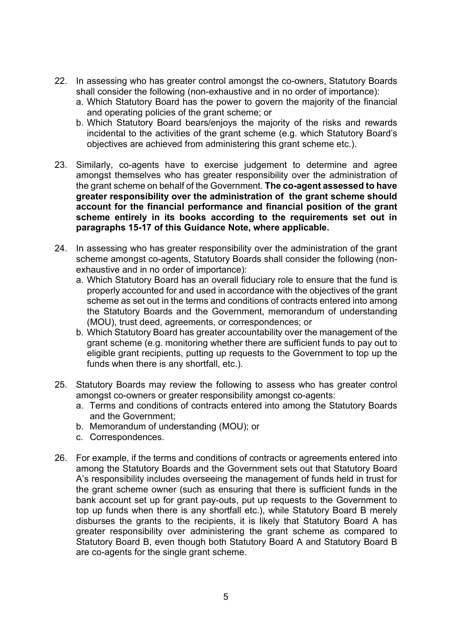- 22. In assessing who has greater control amongst the co-owners, Statutory Boards shall consider the following (non-exhaustive and in no order of importance):
	- a. Which Statutory Board has the power to govern the majority of the financial and operating policies of the grant scheme; or
	- b. Which Statutory Board bears/enjoys the majority of the risks and rewards incidental to the activities of the grant scheme (e.g. which Statutory Board's objectives are achieved from administering this grant scheme etc.).
- 23. Similarly, co-agents have to exercise judgement to determine and agree amongst themselves who has greater responsibility over the administration of the grant scheme on behalf of the Government. The co-agent assessed to have greater responsibility over the administration of the grant scheme should account for the financial performance and financial position of the grant scheme entirely in its books according to the requirements set out in paragraphs 15-17 of this Guidance Note, where applicable.
- 24. In assessing who has greater responsibility over the administration of the grant scheme amongst co-agents, Statutory Boards shall consider the following (nonexhaustive and in no order of importance):
	- a. Which Statutory Board has an overall fiduciary role to ensure that the fund is properly accounted for and used in accordance with the objectives of the grant scheme as set out in the terms and conditions of contracts entered into among the Statutory Boards and the Government, memorandum of understanding (MOU), trust deed, agreements, or correspondences; or
	- b. Which Statutory Board has greater accountability over the management of the grant scheme (e.g. monitoring whether there are sufficient funds to pay out to eligible grant recipients, putting up requests to the Government to top up the funds when there is any shortfall, etc.).
- 25. Statutory Boards may review the following to assess who has greater control amongst co-owners or greater responsibility amongst co-agents:
	- a. Terms and conditions of contracts entered into among the Statutory Boards and the Government;
	- b. Memorandum of understanding (MOU); or
	- c. Correspondences.
- 26. For example, if the terms and conditions of contracts or agreements entered into among the Statutory Boards and the Government sets out that Statutory Board A's responsibility includes overseeing the management of funds held in trust for the grant scheme owner (such as ensuring that there is sufficient funds in the bank account set up for grant pay-outs, put up requests to the Government to top up funds when there is any shortfall etc.), while Statutory Board B merely disburses the grants to the recipients, it is likely that Statutory Board A has greater responsibility over administering the grant scheme as compared to Statutory Board B, even though both Statutory Board A and Statutory Board B are co-agents for the single grant scheme.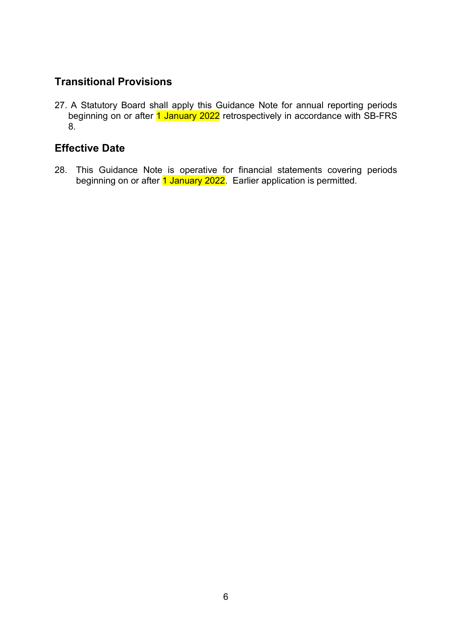### Transitional Provisions

27. A Statutory Board shall apply this Guidance Note for annual reporting periods beginning on or after 1 January 2022 retrospectively in accordance with SB-FRS 8.

### Effective Date

28. This Guidance Note is operative for financial statements covering periods beginning on or after 1 January 2022. Earlier application is permitted.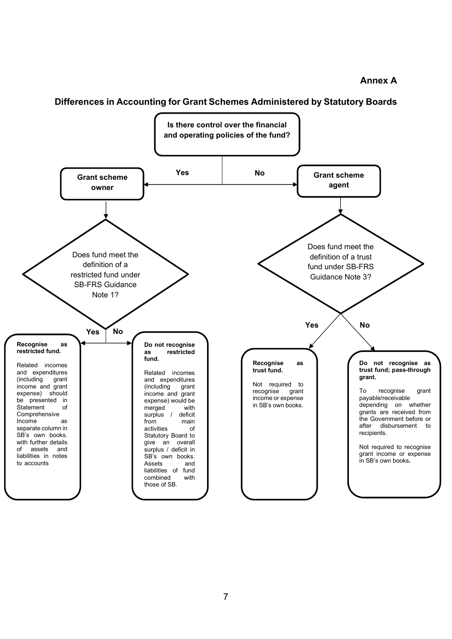#### Annex A

#### Differences in Accounting for Grant Schemes Administered by Statutory Boards

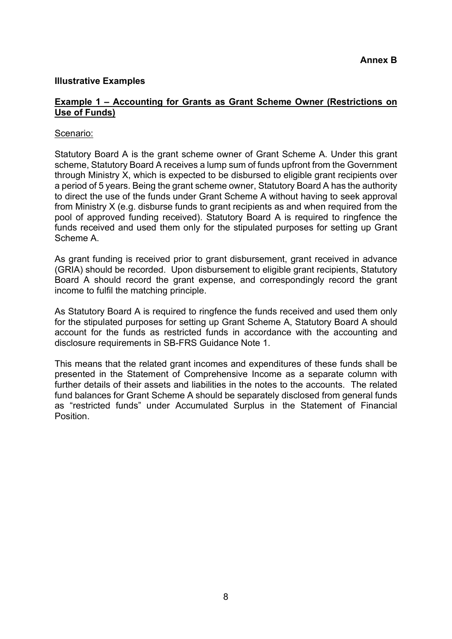#### Illustrative Examples

#### Example 1 – Accounting for Grants as Grant Scheme Owner (Restrictions on Use of Funds)

#### Scenario:

Statutory Board A is the grant scheme owner of Grant Scheme A. Under this grant scheme, Statutory Board A receives a lump sum of funds upfront from the Government through Ministry X, which is expected to be disbursed to eligible grant recipients over a period of 5 years. Being the grant scheme owner, Statutory Board A has the authority to direct the use of the funds under Grant Scheme A without having to seek approval from Ministry X (e.g. disburse funds to grant recipients as and when required from the pool of approved funding received). Statutory Board A is required to ringfence the funds received and used them only for the stipulated purposes for setting up Grant Scheme A.

As grant funding is received prior to grant disbursement, grant received in advance (GRIA) should be recorded. Upon disbursement to eligible grant recipients, Statutory Board A should record the grant expense, and correspondingly record the grant income to fulfil the matching principle.

As Statutory Board A is required to ringfence the funds received and used them only for the stipulated purposes for setting up Grant Scheme A, Statutory Board A should account for the funds as restricted funds in accordance with the accounting and disclosure requirements in SB-FRS Guidance Note 1.

This means that the related grant incomes and expenditures of these funds shall be presented in the Statement of Comprehensive Income as a separate column with further details of their assets and liabilities in the notes to the accounts. The related fund balances for Grant Scheme A should be separately disclosed from general funds as "restricted funds" under Accumulated Surplus in the Statement of Financial **Position**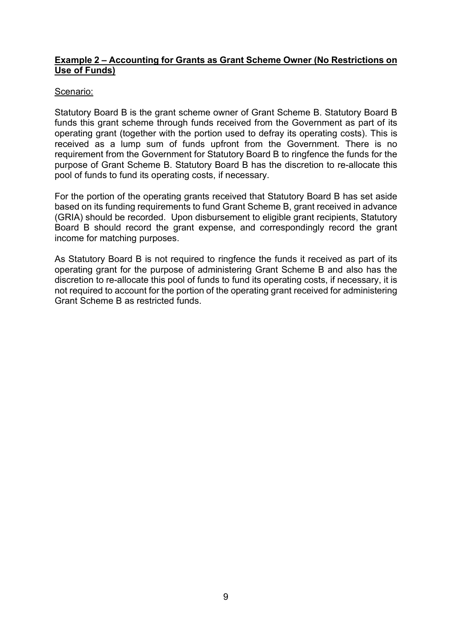#### Example 2 – Accounting for Grants as Grant Scheme Owner (No Restrictions on Use of Funds)

#### Scenario:

Statutory Board B is the grant scheme owner of Grant Scheme B. Statutory Board B funds this grant scheme through funds received from the Government as part of its operating grant (together with the portion used to defray its operating costs). This is received as a lump sum of funds upfront from the Government. There is no requirement from the Government for Statutory Board B to ringfence the funds for the purpose of Grant Scheme B. Statutory Board B has the discretion to re-allocate this pool of funds to fund its operating costs, if necessary.

For the portion of the operating grants received that Statutory Board B has set aside based on its funding requirements to fund Grant Scheme B, grant received in advance (GRIA) should be recorded. Upon disbursement to eligible grant recipients, Statutory Board B should record the grant expense, and correspondingly record the grant income for matching purposes.

As Statutory Board B is not required to ringfence the funds it received as part of its operating grant for the purpose of administering Grant Scheme B and also has the discretion to re-allocate this pool of funds to fund its operating costs, if necessary, it is not required to account for the portion of the operating grant received for administering Grant Scheme B as restricted funds.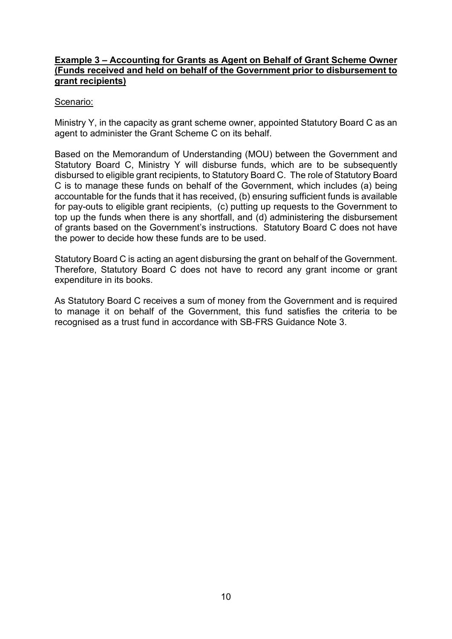#### Example 3 – Accounting for Grants as Agent on Behalf of Grant Scheme Owner (Funds received and held on behalf of the Government prior to disbursement to grant recipients)

#### Scenario:

Ministry Y, in the capacity as grant scheme owner, appointed Statutory Board C as an agent to administer the Grant Scheme C on its behalf.

Based on the Memorandum of Understanding (MOU) between the Government and Statutory Board C, Ministry Y will disburse funds, which are to be subsequently disbursed to eligible grant recipients, to Statutory Board C. The role of Statutory Board C is to manage these funds on behalf of the Government, which includes (a) being accountable for the funds that it has received, (b) ensuring sufficient funds is available for pay-outs to eligible grant recipients, (c) putting up requests to the Government to top up the funds when there is any shortfall, and (d) administering the disbursement of grants based on the Government's instructions. Statutory Board C does not have the power to decide how these funds are to be used.

Statutory Board C is acting an agent disbursing the grant on behalf of the Government. Therefore, Statutory Board C does not have to record any grant income or grant expenditure in its books.

As Statutory Board C receives a sum of money from the Government and is required to manage it on behalf of the Government, this fund satisfies the criteria to be recognised as a trust fund in accordance with SB-FRS Guidance Note 3.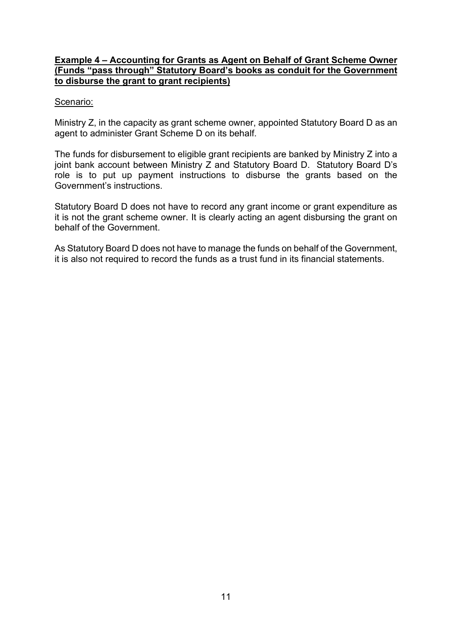#### Example 4 – Accounting for Grants as Agent on Behalf of Grant Scheme Owner (Funds "pass through" Statutory Board's books as conduit for the Government to disburse the grant to grant recipients)

#### Scenario:

Ministry Z, in the capacity as grant scheme owner, appointed Statutory Board D as an agent to administer Grant Scheme D on its behalf.

The funds for disbursement to eligible grant recipients are banked by Ministry Z into a joint bank account between Ministry Z and Statutory Board D. Statutory Board D's role is to put up payment instructions to disburse the grants based on the Government's instructions.

Statutory Board D does not have to record any grant income or grant expenditure as it is not the grant scheme owner. It is clearly acting an agent disbursing the grant on behalf of the Government.

As Statutory Board D does not have to manage the funds on behalf of the Government, it is also not required to record the funds as a trust fund in its financial statements.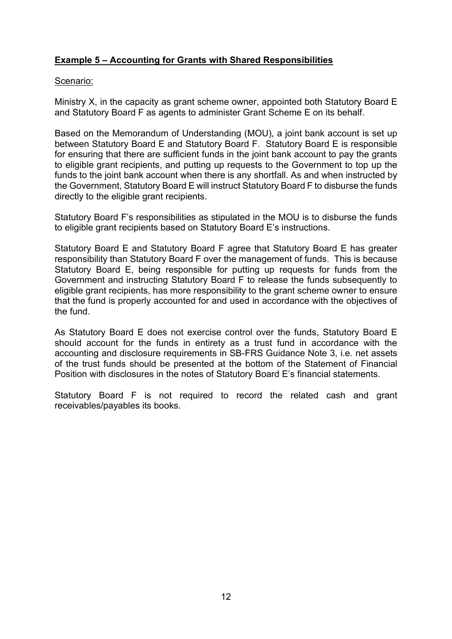### Example 5 – Accounting for Grants with Shared Responsibilities

#### Scenario:

Ministry X, in the capacity as grant scheme owner, appointed both Statutory Board E and Statutory Board F as agents to administer Grant Scheme E on its behalf.

Based on the Memorandum of Understanding (MOU), a joint bank account is set up between Statutory Board E and Statutory Board F. Statutory Board E is responsible for ensuring that there are sufficient funds in the joint bank account to pay the grants to eligible grant recipients, and putting up requests to the Government to top up the funds to the joint bank account when there is any shortfall. As and when instructed by the Government, Statutory Board E will instruct Statutory Board F to disburse the funds directly to the eligible grant recipients.

Statutory Board F's responsibilities as stipulated in the MOU is to disburse the funds to eligible grant recipients based on Statutory Board E's instructions.

Statutory Board E and Statutory Board F agree that Statutory Board E has greater responsibility than Statutory Board F over the management of funds. This is because Statutory Board E, being responsible for putting up requests for funds from the Government and instructing Statutory Board F to release the funds subsequently to eligible grant recipients, has more responsibility to the grant scheme owner to ensure that the fund is properly accounted for and used in accordance with the objectives of the fund.

As Statutory Board E does not exercise control over the funds, Statutory Board E should account for the funds in entirety as a trust fund in accordance with the accounting and disclosure requirements in SB-FRS Guidance Note 3, i.e. net assets of the trust funds should be presented at the bottom of the Statement of Financial Position with disclosures in the notes of Statutory Board E's financial statements.

Statutory Board F is not required to record the related cash and grant receivables/payables its books.